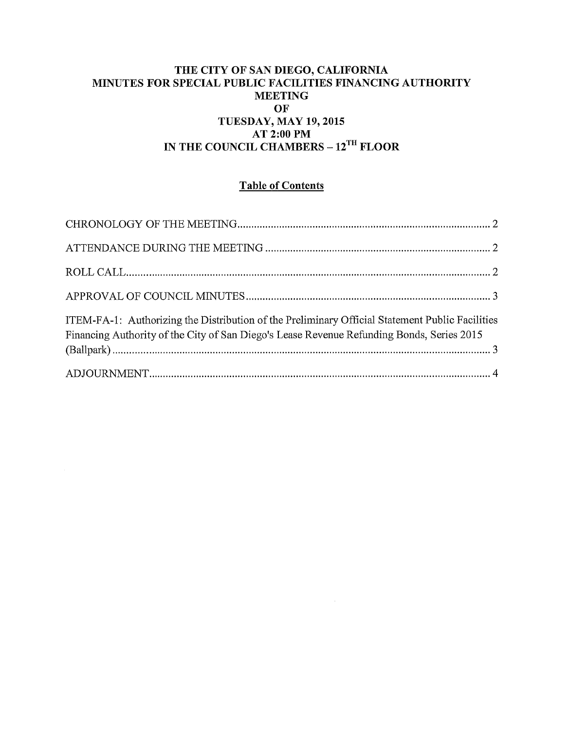### THE CITY OF SAN DIEGO, CALIFORNIA MINUTES FOR SPECIAL PUBLIC FACILITIES FINANCING AUTHORITY **MEETING** OF TUESDAY, MAY 19,2015 AT 2:00PM IN THE COUNCIL CHAMBERS - 12<sup>TH</sup> FLOOR

### Table of Contents

| ITEM-FA-1: Authorizing the Distribution of the Preliminary Official Statement Public Facilities<br>Financing Authority of the City of San Diego's Lease Revenue Refunding Bonds, Series 2015 |  |
|----------------------------------------------------------------------------------------------------------------------------------------------------------------------------------------------|--|
|                                                                                                                                                                                              |  |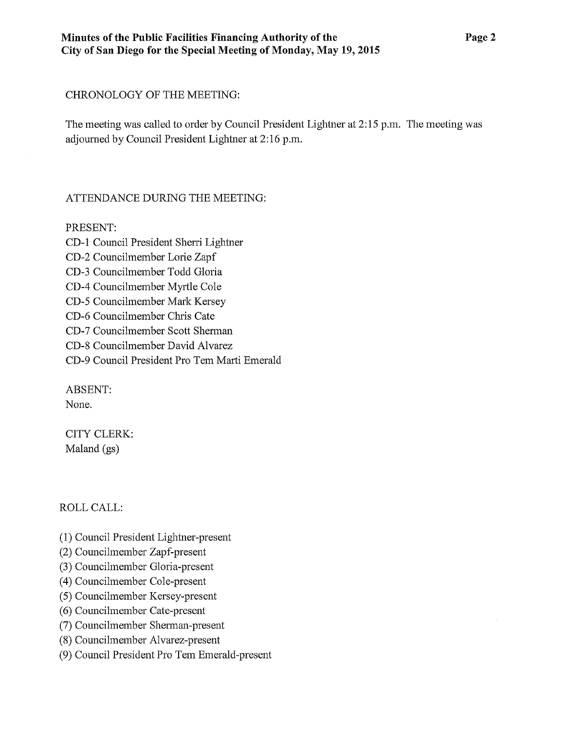#### CHRONOLOGY OF THE MEETING:

The meeting was called to order by Council President Lightner at 2:15 p.m. The meeting was adjourned by Council President Lightner at 2:16 p.m.

### ATTENDANCE DURING THE MEETING:

### PRESENT:

CD-1 Council President Sherri Lightner CD-2 Councilmember Lorie Zapf CD-3 Councilmember Todd Gloria CD-4 Councihnember Myrtle Cole CD-5 Councilmember Mark Kersey CD-6 Councilmember Chris Cate CD-7 Councilmember Scott Shennan CD-8 Councilmember David Alvarez CD-9 Council President Pro Tem Marti Emerald

ABSENT:

None.

CITY CLERK: Maland (gs)

# ROLL CALL:

- (1) Council President Lightner-present
- (2) Councilmember Zapf-present
- (3) Councilmember Gloria-present
- ( 4) Councilmember Cole-present
- (5) Councilmember Kersey-present
- (6) Councilmember Cate-present
- (7) Councilmember Sherman-present
- (8) Councilmember Alvarez-present
- (9) Council President Pro Tem Emerald-present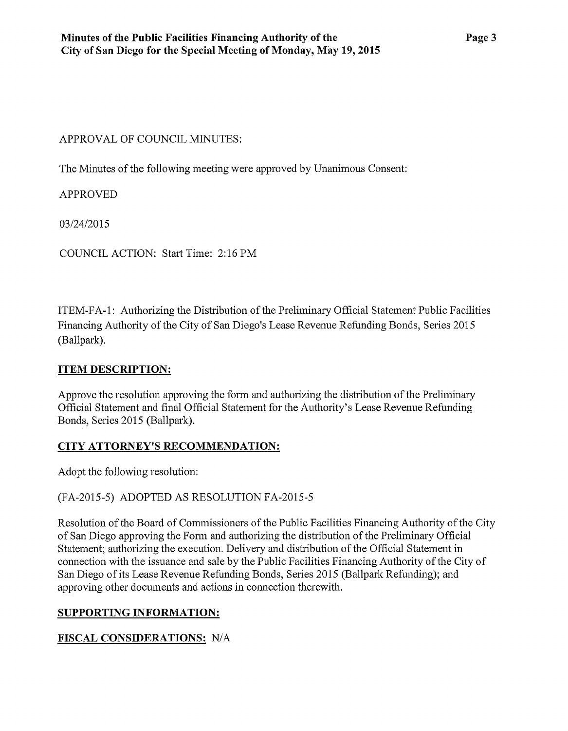### APPROVAL OF COUNCIL MINUTES:

The Minutes of the following meeting were approved by Unanimous Consent:

# APPROVED

03/24/2015

COUNCIL ACTION: Start Time: 2:16PM

ITEM-FA -1: Authorizing the Distribution of the Preliminary Official Statement Public Facilities Financing Authority of the City of San Diego's Lease Revenue Refunding Bonds, Series 2015 (Ballpark).

### **ITEM DESCRIPTION:**

Approve the resolution approving the form and authotizing the disttibution of the Preliminary Official Statement and final Official Statement for the Authority's Lease Revenue Refunding Bonds, Series 2015 (Ballpark).

# **CITY ATTORNEY'S RECOMMENDATION:**

Adopt the following resolution:

# (FA-2015-5) ADOPTED AS RESOLUTION FA-2015-5

Resolution of the Board of Commissioners of the Public Facilities Financing Authority of the City of San Diego approving the Form and authorizing the distribution of the Preliminary Official Statement; authorizing the execution. Delivery and distribution of the Official Statement in connection with the issuance and sale by the Public Facilities Financing Authority of the City of San Diego of its Lease Revenue Refunding Bonds, Series 2015 (Ballpark Refunding); and approving other documents and actions in connection therewith.

### **SUPPORTING INFORMATION:**

# **FISCAL CONSIDERATIONS:** N/A